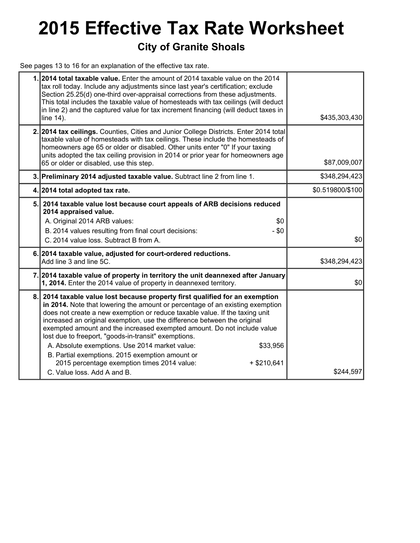# **2015 Effective Tax Rate Worksheet**

### **City of Granite Shoals**

See pages 13 to 16 for an explanation of the effective tax rate.

|     | 1.2014 total taxable value. Enter the amount of 2014 taxable value on the 2014<br>tax roll today. Include any adjustments since last year's certification; exclude<br>Section 25.25(d) one-third over-appraisal corrections from these adjustments.<br>This total includes the taxable value of homesteads with tax ceilings (will deduct<br>in line 2) and the captured value for tax increment financing (will deduct taxes in<br>line 14).                                                                                                                                                                                                                            | \$435,303,430    |
|-----|--------------------------------------------------------------------------------------------------------------------------------------------------------------------------------------------------------------------------------------------------------------------------------------------------------------------------------------------------------------------------------------------------------------------------------------------------------------------------------------------------------------------------------------------------------------------------------------------------------------------------------------------------------------------------|------------------|
|     | 2. 2014 tax ceilings. Counties, Cities and Junior College Districts. Enter 2014 total<br>taxable value of homesteads with tax ceilings. These include the homesteads of<br>homeowners age 65 or older or disabled. Other units enter "0" If your taxing<br>units adopted the tax ceiling provision in 2014 or prior year for homeowners age<br>65 or older or disabled, use this step.                                                                                                                                                                                                                                                                                   | \$87,009,007     |
|     | 3. Preliminary 2014 adjusted taxable value. Subtract line 2 from line 1.                                                                                                                                                                                                                                                                                                                                                                                                                                                                                                                                                                                                 | \$348,294,423    |
|     | 4. 2014 total adopted tax rate.                                                                                                                                                                                                                                                                                                                                                                                                                                                                                                                                                                                                                                          | \$0.519800/\$100 |
| 5.I | 2014 taxable value lost because court appeals of ARB decisions reduced<br>2014 appraised value.<br>A. Original 2014 ARB values:<br>\$0<br>$- $0$<br>B. 2014 values resulting from final court decisions:<br>C. 2014 value loss. Subtract B from A.                                                                                                                                                                                                                                                                                                                                                                                                                       | \$0              |
|     | 6. 2014 taxable value, adjusted for court-ordered reductions.<br>Add line 3 and line 5C.                                                                                                                                                                                                                                                                                                                                                                                                                                                                                                                                                                                 | \$348,294,423    |
|     | 7. 2014 taxable value of property in territory the unit deannexed after January<br>1, 2014. Enter the 2014 value of property in deannexed territory.                                                                                                                                                                                                                                                                                                                                                                                                                                                                                                                     | \$0              |
| 8.  | 2014 taxable value lost because property first qualified for an exemption<br>in 2014. Note that lowering the amount or percentage of an existing exemption<br>does not create a new exemption or reduce taxable value. If the taxing unit<br>increased an original exemption, use the difference between the original<br>exempted amount and the increased exempted amount. Do not include value<br>lost due to freeport, "goods-in-transit" exemptions.<br>A. Absolute exemptions. Use 2014 market value:<br>\$33,956<br>B. Partial exemptions. 2015 exemption amount or<br>2015 percentage exemption times 2014 value:<br>$+$ \$210,641<br>C. Value loss, Add A and B. | \$244,597        |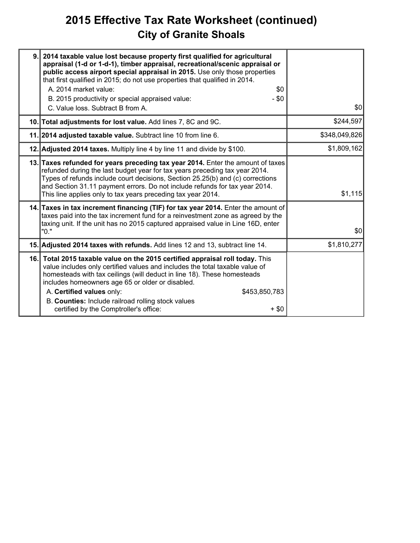# **2015 Effective Tax Rate Worksheet (continued) City of Granite Shoals**

| 9. 2014 taxable value lost because property first qualified for agricultural<br>appraisal (1-d or 1-d-1), timber appraisal, recreational/scenic appraisal or<br>public access airport special appraisal in 2015. Use only those properties<br>that first qualified in 2015; do not use properties that qualified in 2014.<br>A. 2014 market value:<br>\$0<br>B. 2015 productivity or special appraised value:<br>$- $0$<br>C. Value loss. Subtract B from A. | \$0           |
|--------------------------------------------------------------------------------------------------------------------------------------------------------------------------------------------------------------------------------------------------------------------------------------------------------------------------------------------------------------------------------------------------------------------------------------------------------------|---------------|
| 10. Total adjustments for lost value. Add lines 7, 8C and 9C.                                                                                                                                                                                                                                                                                                                                                                                                | \$244,597     |
| 11. 2014 adjusted taxable value. Subtract line 10 from line 6.                                                                                                                                                                                                                                                                                                                                                                                               | \$348,049,826 |
| 12. Adjusted 2014 taxes. Multiply line 4 by line 11 and divide by \$100.                                                                                                                                                                                                                                                                                                                                                                                     | \$1,809,162   |
| 13. Taxes refunded for years preceding tax year 2014. Enter the amount of taxes<br>refunded during the last budget year for tax years preceding tax year 2014.<br>Types of refunds include court decisions, Section 25.25(b) and (c) corrections<br>and Section 31.11 payment errors. Do not include refunds for tax year 2014.<br>This line applies only to tax years preceding tax year 2014.                                                              | \$1,115       |
| 14. Taxes in tax increment financing (TIF) for tax year 2014. Enter the amount of<br>taxes paid into the tax increment fund for a reinvestment zone as agreed by the<br>taxing unit. If the unit has no 2015 captured appraised value in Line 16D, enter<br>"0."                                                                                                                                                                                             | \$0           |
| 15. Adjusted 2014 taxes with refunds. Add lines 12 and 13, subtract line 14.                                                                                                                                                                                                                                                                                                                                                                                 | \$1,810,277   |
| 16. Total 2015 taxable value on the 2015 certified appraisal roll today. This<br>value includes only certified values and includes the total taxable value of<br>homesteads with tax ceilings (will deduct in line 18). These homesteads<br>includes homeowners age 65 or older or disabled.<br>A. Certified values only:<br>\$453,850,783<br>B. Counties: Include railroad rolling stock values<br>certified by the Comptroller's office:<br>$+$ \$0        |               |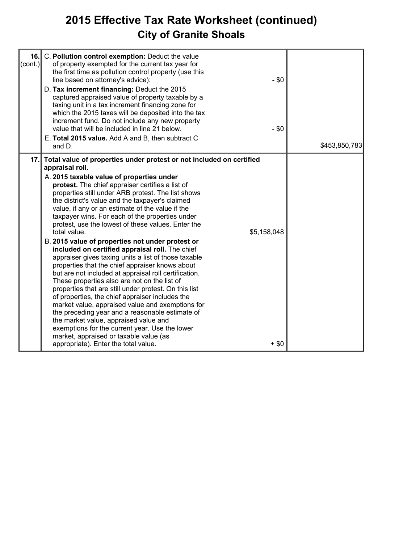# **2015 Effective Tax Rate Worksheet (continued) City of Granite Shoals**

| 16.<br>$\left( \text{cont.} \right)$ | C. Pollution control exemption: Deduct the value<br>of property exempted for the current tax year for<br>the first time as pollution control property (use this<br>line based on attorney's advice):<br>D. Tax increment financing: Deduct the 2015<br>captured appraised value of property taxable by a<br>taxing unit in a tax increment financing zone for<br>which the 2015 taxes will be deposited into the tax<br>increment fund. Do not include any new property<br>value that will be included in line 21 below.<br>E. Total 2015 value. Add A and B, then subtract C<br>and D.                                                                                                                                                                                                                                                                                                                                                                                                                                                                                                                                                                                                                   | $-$ \$0<br>$-$ \$0     | \$453,850,783 |
|--------------------------------------|-----------------------------------------------------------------------------------------------------------------------------------------------------------------------------------------------------------------------------------------------------------------------------------------------------------------------------------------------------------------------------------------------------------------------------------------------------------------------------------------------------------------------------------------------------------------------------------------------------------------------------------------------------------------------------------------------------------------------------------------------------------------------------------------------------------------------------------------------------------------------------------------------------------------------------------------------------------------------------------------------------------------------------------------------------------------------------------------------------------------------------------------------------------------------------------------------------------|------------------------|---------------|
| 17.1                                 | Total value of properties under protest or not included on certified<br>appraisal roll.<br>A. 2015 taxable value of properties under<br>protest. The chief appraiser certifies a list of<br>properties still under ARB protest. The list shows<br>the district's value and the taxpayer's claimed<br>value, if any or an estimate of the value if the<br>taxpayer wins. For each of the properties under<br>protest, use the lowest of these values. Enter the<br>total value.<br>B. 2015 value of properties not under protest or<br>included on certified appraisal roll. The chief<br>appraiser gives taxing units a list of those taxable<br>properties that the chief appraiser knows about<br>but are not included at appraisal roll certification.<br>These properties also are not on the list of<br>properties that are still under protest. On this list<br>of properties, the chief appraiser includes the<br>market value, appraised value and exemptions for<br>the preceding year and a reasonable estimate of<br>the market value, appraised value and<br>exemptions for the current year. Use the lower<br>market, appraised or taxable value (as<br>appropriate). Enter the total value. | \$5,158,048<br>$+$ \$0 |               |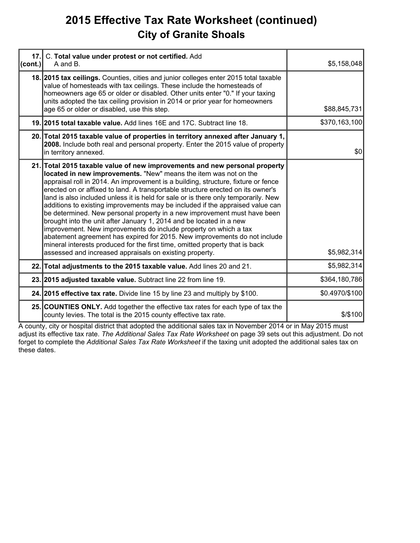## **2015 Effective Tax Rate Worksheet (continued) City of Granite Shoals**

| 17.<br>(cont.) | C. Total value under protest or not certified. Add<br>A and B.                                                                                                                                                                                                                                                                                                                                                                                                                                                                                                                                                                                                                                                                                                                                                                                                                                                                               | \$5,158,048    |
|----------------|----------------------------------------------------------------------------------------------------------------------------------------------------------------------------------------------------------------------------------------------------------------------------------------------------------------------------------------------------------------------------------------------------------------------------------------------------------------------------------------------------------------------------------------------------------------------------------------------------------------------------------------------------------------------------------------------------------------------------------------------------------------------------------------------------------------------------------------------------------------------------------------------------------------------------------------------|----------------|
|                | 18. 2015 tax cellings. Counties, cities and junior colleges enter 2015 total taxable<br>value of homesteads with tax ceilings. These include the homesteads of<br>homeowners age 65 or older or disabled. Other units enter "0." If your taxing<br>units adopted the tax ceiling provision in 2014 or prior year for homeowners<br>age 65 or older or disabled, use this step.                                                                                                                                                                                                                                                                                                                                                                                                                                                                                                                                                               | \$88,845,731   |
|                | 19. 2015 total taxable value. Add lines 16E and 17C. Subtract line 18.                                                                                                                                                                                                                                                                                                                                                                                                                                                                                                                                                                                                                                                                                                                                                                                                                                                                       | \$370,163,100  |
|                | 20. Total 2015 taxable value of properties in territory annexed after January 1,<br>2008. Include both real and personal property. Enter the 2015 value of property<br>in territory annexed.                                                                                                                                                                                                                                                                                                                                                                                                                                                                                                                                                                                                                                                                                                                                                 | \$0            |
|                | 21. Total 2015 taxable value of new improvements and new personal property<br>located in new improvements. "New" means the item was not on the<br>appraisal roll in 2014. An improvement is a building, structure, fixture or fence<br>erected on or affixed to land. A transportable structure erected on its owner's<br>land is also included unless it is held for sale or is there only temporarily. New<br>additions to existing improvements may be included if the appraised value can<br>be determined. New personal property in a new improvement must have been<br>brought into the unit after January 1, 2014 and be located in a new<br>improvement. New improvements do include property on which a tax<br>abatement agreement has expired for 2015. New improvements do not include<br>mineral interests produced for the first time, omitted property that is back<br>assessed and increased appraisals on existing property. | \$5,982,314    |
|                | 22. Total adjustments to the 2015 taxable value. Add lines 20 and 21.                                                                                                                                                                                                                                                                                                                                                                                                                                                                                                                                                                                                                                                                                                                                                                                                                                                                        | \$5,982,314    |
|                | 23. 2015 adjusted taxable value. Subtract line 22 from line 19.                                                                                                                                                                                                                                                                                                                                                                                                                                                                                                                                                                                                                                                                                                                                                                                                                                                                              | \$364,180,786  |
|                | 24. 2015 effective tax rate. Divide line 15 by line 23 and multiply by \$100.                                                                                                                                                                                                                                                                                                                                                                                                                                                                                                                                                                                                                                                                                                                                                                                                                                                                | \$0.4970/\$100 |
|                | 25. COUNTIES ONLY. Add together the effective tax rates for each type of tax the<br>county levies. The total is the 2015 county effective tax rate.                                                                                                                                                                                                                                                                                                                                                                                                                                                                                                                                                                                                                                                                                                                                                                                          | \$/\$100       |

A county, city or hospital district that adopted the additional sales tax in November 2014 or in May 2015 must adjust its effective tax rate. *The Additional Sales Tax Rate Worksheet* on page 39 sets out this adjustment. Do not forget to complete the *Additional Sales Tax Rate Worksheet* if the taxing unit adopted the additional sales tax on these dates.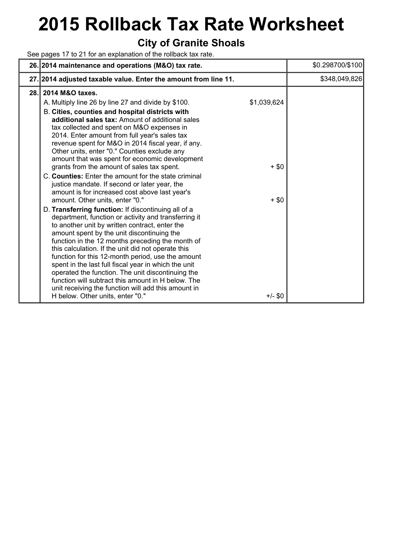# **2015 Rollback Tax Rate Worksheet**

### **City of Granite Shoals**

See pages 17 to 21 for an explanation of the rollback tax rate.

|     | 26. 2014 maintenance and operations (M&O) tax rate.                                                                                                                                                                                                                                                                                                                                                                                                                                                                                                                                                                                                                                                                                                                                                                                                                                                                                                                                                                                                                                                                                                                                                                                                                                                                           | \$0.298700/\$100 |
|-----|-------------------------------------------------------------------------------------------------------------------------------------------------------------------------------------------------------------------------------------------------------------------------------------------------------------------------------------------------------------------------------------------------------------------------------------------------------------------------------------------------------------------------------------------------------------------------------------------------------------------------------------------------------------------------------------------------------------------------------------------------------------------------------------------------------------------------------------------------------------------------------------------------------------------------------------------------------------------------------------------------------------------------------------------------------------------------------------------------------------------------------------------------------------------------------------------------------------------------------------------------------------------------------------------------------------------------------|------------------|
|     | 27. 2014 adjusted taxable value. Enter the amount from line 11.                                                                                                                                                                                                                                                                                                                                                                                                                                                                                                                                                                                                                                                                                                                                                                                                                                                                                                                                                                                                                                                                                                                                                                                                                                                               | \$348,049,826    |
| 28. | 2014 M&O taxes.<br>\$1,039,624<br>A. Multiply line 26 by line 27 and divide by \$100.<br>B. Cities, counties and hospital districts with<br>additional sales tax: Amount of additional sales<br>tax collected and spent on M&O expenses in<br>2014. Enter amount from full year's sales tax<br>revenue spent for M&O in 2014 fiscal year, if any.<br>Other units, enter "0." Counties exclude any<br>amount that was spent for economic development<br>grants from the amount of sales tax spent.<br>$+$ \$0<br>C. Counties: Enter the amount for the state criminal<br>justice mandate. If second or later year, the<br>amount is for increased cost above last year's<br>amount. Other units, enter "0."<br>$+$ \$0<br>D. Transferring function: If discontinuing all of a<br>department, function or activity and transferring it<br>to another unit by written contract, enter the<br>amount spent by the unit discontinuing the<br>function in the 12 months preceding the month of<br>this calculation. If the unit did not operate this<br>function for this 12-month period, use the amount<br>spent in the last full fiscal year in which the unit<br>operated the function. The unit discontinuing the<br>function will subtract this amount in H below. The<br>unit receiving the function will add this amount in |                  |
|     | H below. Other units, enter "0."<br>$+/-$ \$0                                                                                                                                                                                                                                                                                                                                                                                                                                                                                                                                                                                                                                                                                                                                                                                                                                                                                                                                                                                                                                                                                                                                                                                                                                                                                 |                  |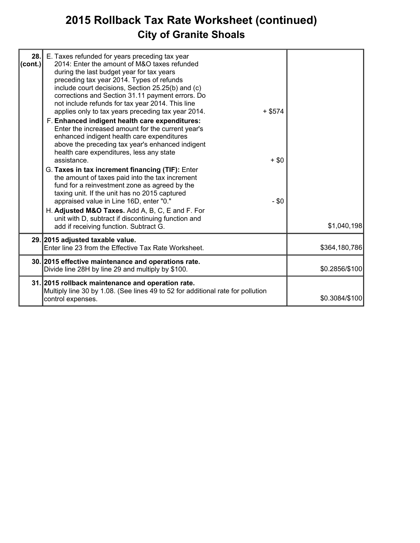# **2015 Rollback Tax Rate Worksheet (continued) City of Granite Shoals**

| 28.<br>(cont.) | E. Taxes refunded for years preceding tax year<br>2014: Enter the amount of M&O taxes refunded<br>during the last budget year for tax years<br>preceding tax year 2014. Types of refunds<br>include court decisions, Section 25.25(b) and (c)<br>corrections and Section 31.11 payment errors. Do<br>not include refunds for tax year 2014. This line<br>applies only to tax years preceding tax year 2014.<br>F. Enhanced indigent health care expenditures:<br>Enter the increased amount for the current year's<br>enhanced indigent health care expenditures<br>above the preceding tax year's enhanced indigent<br>health care expenditures, less any state<br>assistance.<br>G. Taxes in tax increment financing (TIF): Enter<br>the amount of taxes paid into the tax increment<br>fund for a reinvestment zone as agreed by the<br>taxing unit. If the unit has no 2015 captured<br>appraised value in Line 16D, enter "0." | $+$ \$574<br>$+$ \$0<br>$- $0$ |                |
|----------------|-------------------------------------------------------------------------------------------------------------------------------------------------------------------------------------------------------------------------------------------------------------------------------------------------------------------------------------------------------------------------------------------------------------------------------------------------------------------------------------------------------------------------------------------------------------------------------------------------------------------------------------------------------------------------------------------------------------------------------------------------------------------------------------------------------------------------------------------------------------------------------------------------------------------------------------|--------------------------------|----------------|
|                | H. Adjusted M&O Taxes. Add A, B, C, E and F. For<br>unit with D, subtract if discontinuing function and<br>add if receiving function. Subtract G.                                                                                                                                                                                                                                                                                                                                                                                                                                                                                                                                                                                                                                                                                                                                                                                   |                                | \$1,040,198    |
|                | 29. 2015 adjusted taxable value.<br>Enter line 23 from the Effective Tax Rate Worksheet.                                                                                                                                                                                                                                                                                                                                                                                                                                                                                                                                                                                                                                                                                                                                                                                                                                            |                                | \$364,180,786  |
|                | 30. 2015 effective maintenance and operations rate.<br>Divide line 28H by line 29 and multiply by \$100.                                                                                                                                                                                                                                                                                                                                                                                                                                                                                                                                                                                                                                                                                                                                                                                                                            |                                | \$0.2856/\$100 |
|                | 31. 2015 rollback maintenance and operation rate.<br>Multiply line 30 by 1.08. (See lines 49 to 52 for additional rate for pollution<br>control expenses.                                                                                                                                                                                                                                                                                                                                                                                                                                                                                                                                                                                                                                                                                                                                                                           |                                | \$0.3084/\$100 |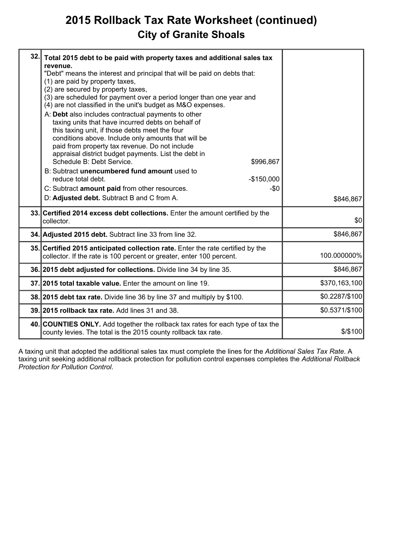# **2015 Rollback Tax Rate Worksheet (continued) City of Granite Shoals**

| 32. | Total 2015 debt to be paid with property taxes and additional sales tax<br>revenue.<br>"Debt" means the interest and principal that will be paid on debts that:<br>(1) are paid by property taxes,<br>(2) are secured by property taxes,<br>(3) are scheduled for payment over a period longer than one year and<br>(4) are not classified in the unit's budget as M&O expenses.<br>A: Debt also includes contractual payments to other<br>taxing units that have incurred debts on behalf of<br>this taxing unit, if those debts meet the four<br>conditions above. Include only amounts that will be<br>paid from property tax revenue. Do not include<br>appraisal district budget payments. List the debt in<br>Schedule B: Debt Service.<br>\$996,867<br>B: Subtract unencumbered fund amount used to<br>reduce total debt.<br>$-$150,000$<br>C: Subtract amount paid from other resources.<br>-\$0<br>D: Adjusted debt. Subtract B and C from A. | \$846,867      |
|-----|--------------------------------------------------------------------------------------------------------------------------------------------------------------------------------------------------------------------------------------------------------------------------------------------------------------------------------------------------------------------------------------------------------------------------------------------------------------------------------------------------------------------------------------------------------------------------------------------------------------------------------------------------------------------------------------------------------------------------------------------------------------------------------------------------------------------------------------------------------------------------------------------------------------------------------------------------------|----------------|
|     | 33. Certified 2014 excess debt collections. Enter the amount certified by the<br>collector.                                                                                                                                                                                                                                                                                                                                                                                                                                                                                                                                                                                                                                                                                                                                                                                                                                                            | \$0            |
|     | 34. Adjusted 2015 debt. Subtract line 33 from line 32.                                                                                                                                                                                                                                                                                                                                                                                                                                                                                                                                                                                                                                                                                                                                                                                                                                                                                                 | \$846,867      |
|     | 35. Certified 2015 anticipated collection rate. Enter the rate certified by the<br>collector. If the rate is 100 percent or greater, enter 100 percent.                                                                                                                                                                                                                                                                                                                                                                                                                                                                                                                                                                                                                                                                                                                                                                                                | 100.000000%    |
|     | 36. 2015 debt adjusted for collections. Divide line 34 by line 35.                                                                                                                                                                                                                                                                                                                                                                                                                                                                                                                                                                                                                                                                                                                                                                                                                                                                                     | \$846,867      |
|     | 37. 2015 total taxable value. Enter the amount on line 19.                                                                                                                                                                                                                                                                                                                                                                                                                                                                                                                                                                                                                                                                                                                                                                                                                                                                                             | \$370,163,100  |
|     | 38. 2015 debt tax rate. Divide line 36 by line 37 and multiply by \$100.                                                                                                                                                                                                                                                                                                                                                                                                                                                                                                                                                                                                                                                                                                                                                                                                                                                                               | \$0.2287/\$100 |
|     | 39. 2015 rollback tax rate. Add lines 31 and 38.                                                                                                                                                                                                                                                                                                                                                                                                                                                                                                                                                                                                                                                                                                                                                                                                                                                                                                       | \$0.5371/\$100 |
|     | 40. COUNTIES ONLY. Add together the rollback tax rates for each type of tax the<br>county levies. The total is the 2015 county rollback tax rate.                                                                                                                                                                                                                                                                                                                                                                                                                                                                                                                                                                                                                                                                                                                                                                                                      | \$/\$100       |

A taxing unit that adopted the additional sales tax must complete the lines for the *Additional Sales Tax Rate*. A taxing unit seeking additional rollback protection for pollution control expenses completes the *Additional Rollback Protection for Pollution Control*.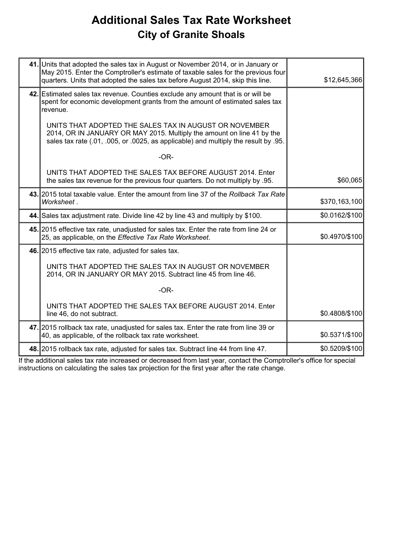## **Additional Sales Tax Rate Worksheet City of Granite Shoals**

| 41. Units that adopted the sales tax in August or November 2014, or in January or<br>May 2015. Enter the Comptroller's estimate of taxable sales for the previous four<br>quarters. Units that adopted the sales tax before August 2014, skip this line. | \$12,645,366   |
|----------------------------------------------------------------------------------------------------------------------------------------------------------------------------------------------------------------------------------------------------------|----------------|
| 42. Estimated sales tax revenue. Counties exclude any amount that is or will be<br>spent for economic development grants from the amount of estimated sales tax<br>revenue.                                                                              |                |
| UNITS THAT ADOPTED THE SALES TAX IN AUGUST OR NOVEMBER<br>2014, OR IN JANUARY OR MAY 2015. Multiply the amount on line 41 by the<br>sales tax rate (.01, .005, or .0025, as applicable) and multiply the result by .95.                                  |                |
| $-OR-$                                                                                                                                                                                                                                                   |                |
| UNITS THAT ADOPTED THE SALES TAX BEFORE AUGUST 2014. Enter<br>the sales tax revenue for the previous four quarters. Do not multiply by .95.                                                                                                              | \$60,065       |
| 43. 2015 total taxable value. Enter the amount from line 37 of the Rollback Tax Rate<br>Worksheet.                                                                                                                                                       | \$370,163,100  |
| 44. Sales tax adjustment rate. Divide line 42 by line 43 and multiply by \$100.                                                                                                                                                                          | \$0.0162/\$100 |
| 45. 2015 effective tax rate, unadjusted for sales tax. Enter the rate from line 24 or<br>25, as applicable, on the Effective Tax Rate Worksheet.                                                                                                         | \$0.4970/\$100 |
| 46. 2015 effective tax rate, adjusted for sales tax.                                                                                                                                                                                                     |                |
| UNITS THAT ADOPTED THE SALES TAX IN AUGUST OR NOVEMBER<br>2014, OR IN JANUARY OR MAY 2015. Subtract line 45 from line 46.                                                                                                                                |                |
| $-OR-$                                                                                                                                                                                                                                                   |                |
| UNITS THAT ADOPTED THE SALES TAX BEFORE AUGUST 2014. Enter<br>line 46, do not subtract.                                                                                                                                                                  | \$0.4808/\$100 |
| 47. 2015 rollback tax rate, unadjusted for sales tax. Enter the rate from line 39 or<br>40, as applicable, of the rollback tax rate worksheet.                                                                                                           | \$0.5371/\$100 |
| 48. 2015 rollback tax rate, adjusted for sales tax. Subtract line 44 from line 47.                                                                                                                                                                       | \$0.5209/\$100 |

If the additional sales tax rate increased or decreased from last year, contact the Comptroller's office for special instructions on calculating the sales tax projection for the first year after the rate change.